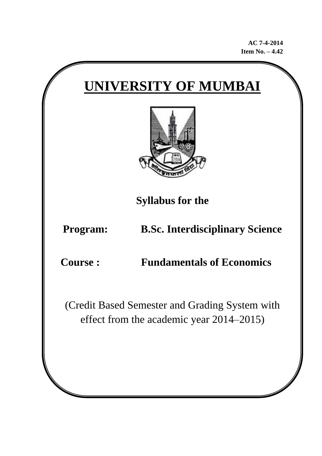**AC 7-4-2014 Item No. – 4.42**

# **UNIVERSITY OF MUMBAI**



**Syllabus for the** 

**Program: B.Sc. Interdisciplinary Science** 

**Course : Fundamentals of Economics**

(Credit Based Semester and Grading System with effect from the academic year 2014–2015)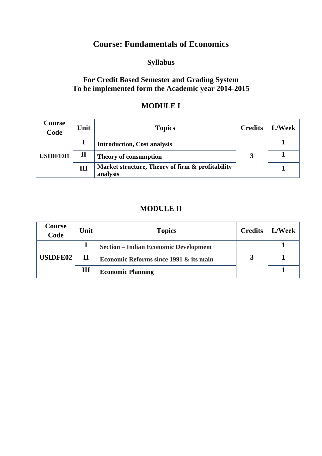## **Course: Fundamentals of Economics**

## **Syllabus**

#### **For Credit Based Semester and Grading System To be implemented form the Academic year 2014-2015**

#### **MODULE I**

| Course<br>Code  | Unit         | <b>Topics</b>                                                | <b>Credits</b> | L/Week |
|-----------------|--------------|--------------------------------------------------------------|----------------|--------|
| <b>USIDFE01</b> |              | <b>Introduction, Cost analysis</b>                           |                |        |
|                 | $\mathbf{I}$ | <b>Theory of consumption</b>                                 |                |        |
|                 | Ш            | Market structure, Theory of firm & profitability<br>analysis |                |        |

#### **MODULE II**

| Course<br>Code  | Unit        | <b>Topics</b>                                     | <b>Credits</b> | L/Week |
|-----------------|-------------|---------------------------------------------------|----------------|--------|
| <b>USIDFE02</b> |             | <b>Section - Indian Economic Development</b>      |                |        |
|                 | $\mathbf H$ | <b>Economic Reforms since 1991 &amp; its main</b> |                |        |
|                 | Ш           | <b>Economic Planning</b>                          |                |        |